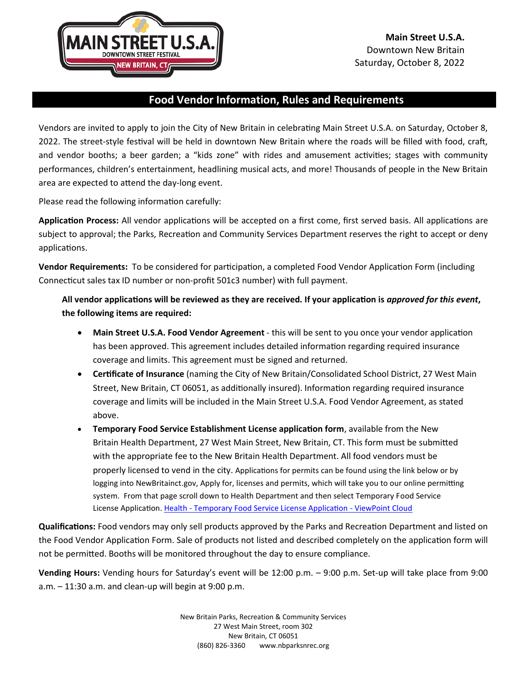

## **Food Vendor Information, Rules and Requirements**

Vendors are invited to apply to join the City of New Britain in celebrating Main Street U.S.A. on Saturday, October 8, 2022. The street-style festival will be held in downtown New Britain where the roads will be filled with food, craft, and vendor booths; a beer garden; a "kids zone" with rides and amusement activities; stages with community performances, children's entertainment, headlining musical acts, and more! Thousands of people in the New Britain area are expected to attend the day-long event.

Please read the following information carefully:

**Application Process:** All vendor applications will be accepted on a first come, first served basis. All applications are subject to approval; the Parks, Recreation and Community Services Department reserves the right to accept or deny applications.

**Vendor Requirements:** To be considered for participation, a completed Food Vendor Application Form (including Connecticut sales tax ID number or non-profit 501c3 number) with full payment.

**All vendor applications will be reviewed as they are received. If your application is** *approved for this event***, the following items are required:**

- **Main Street U.S.A. Food Vendor Agreement** this will be sent to you once your vendor application has been approved. This agreement includes detailed information regarding required insurance coverage and limits. This agreement must be signed and returned.
- **Certificate of Insurance** (naming the City of New Britain/Consolidated School District, 27 West Main Street, New Britain, CT 06051, as additionally insured). Information regarding required insurance coverage and limits will be included in the Main Street U.S.A. Food Vendor Agreement, as stated above.
- **Temporary Food Service Establishment License application form**, available from the New Britain Health Department, 27 West Main Street, New Britain, CT. This form must be submitted with the appropriate fee to the New Britain Health Department. All food vendors must be properly licensed to vend in the city. Applications for permits can be found using the link below or by logging into NewBritainct.gov, Apply for, licenses and permits, which will take you to our online permitting system. From that page scroll down to Health Department and then select Temporary Food Service License Application. Health - [Temporary Food Service License Application](https://newbritainct.viewpointcloud.com/categories/1085/record-types/6509) - ViewPoint Cloud

**Qualifications:** Food vendors may only sell products approved by the Parks and Recreation Department and listed on the Food Vendor Application Form. Sale of products not listed and described completely on the application form will not be permitted. Booths will be monitored throughout the day to ensure compliance.

**Vending Hours:** Vending hours for Saturday's event will be 12:00 p.m. – 9:00 p.m. Set-up will take place from 9:00  $a.m. - 11:30 a.m.$  and clean-up will begin at 9:00 p.m.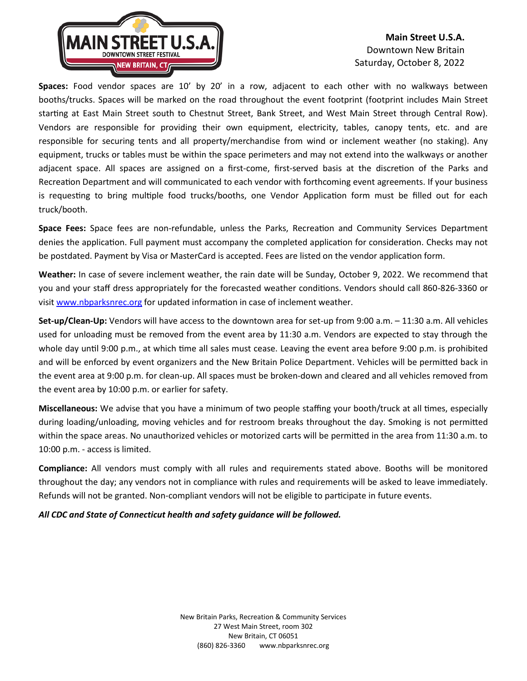

## **Main Street U.S.A.** Downtown New Britain Saturday, October 8, 2022

**Spaces:** Food vendor spaces are 10' by 20' in a row, adjacent to each other with no walkways between booths/trucks. Spaces will be marked on the road throughout the event footprint (footprint includes Main Street starting at East Main Street south to Chestnut Street, Bank Street, and West Main Street through Central Row). Vendors are responsible for providing their own equipment, electricity, tables, canopy tents, etc. and are responsible for securing tents and all property/merchandise from wind or inclement weather (no staking). Any equipment, trucks or tables must be within the space perimeters and may not extend into the walkways or another adjacent space. All spaces are assigned on a first-come, first-served basis at the discretion of the Parks and Recreation Department and will communicated to each vendor with forthcoming event agreements. If your business is requesting to bring multiple food trucks/booths, one Vendor Application form must be filled out for each truck/booth.

**Space Fees:** Space fees are non-refundable, unless the Parks, Recreation and Community Services Department denies the application. Full payment must accompany the completed application for consideration. Checks may not be postdated. Payment by Visa or MasterCard is accepted. Fees are listed on the vendor application form.

**Weather:** In case of severe inclement weather, the rain date will be Sunday, October 9, 2022. We recommend that you and your staff dress appropriately for the forecasted weather conditions. Vendors should call 860-826-3360 or visi[t www.nbparksnrec.org](http://www.nbparksnrec.org/) for updated information in case of inclement weather.

**Set-up/Clean-Up:** Vendors will have access to the downtown area for set-up from 9:00 a.m. – 11:30 a.m. All vehicles used for unloading must be removed from the event area by 11:30 a.m. Vendors are expected to stay through the whole day until 9:00 p.m., at which time all sales must cease. Leaving the event area before 9:00 p.m. is prohibited and will be enforced by event organizers and the New Britain Police Department. Vehicles will be permitted back in the event area at 9:00 p.m. for clean-up. All spaces must be broken-down and cleared and all vehicles removed from the event area by 10:00 p.m. or earlier for safety.

**Miscellaneous:** We advise that you have a minimum of two people staffing your booth/truck at all times, especially during loading/unloading, moving vehicles and for restroom breaks throughout the day. Smoking is not permitted within the space areas. No unauthorized vehicles or motorized carts will be permitted in the area from 11:30 a.m. to 10:00 p.m. - access is limited.

**Compliance:** All vendors must comply with all rules and requirements stated above. Booths will be monitored throughout the day; any vendors not in compliance with rules and requirements will be asked to leave immediately. Refunds will not be granted. Non-compliant vendors will not be eligible to participate in future events.

*All CDC and State of Connecticut health and safety guidance will be followed.*

New Britain Parks, Recreation & Community Services 27 West Main Street, room 302 New Britain, CT 06051 (860) 826-3360 www.nbparksnrec.org